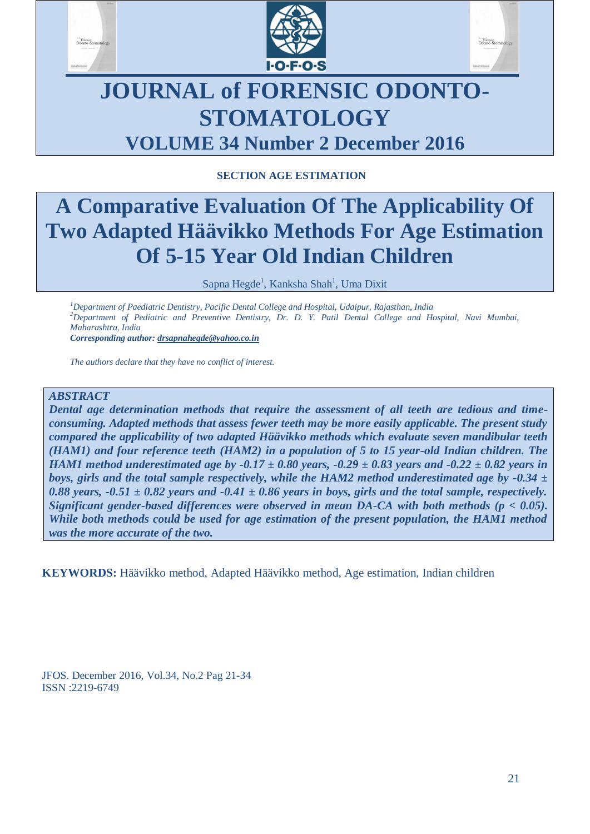





## **JOURNAL of FORENSIC ODONTO-STOMATOLOGY VOLUME 34 Number 2 December 2016**

## **SECTION AGE ESTIMATION**

# **A Comparative Evaluation Of The Applicability Of Two Adapted Häävikko Methods For Age Estimation Of 5-15 Year Old Indian Children**

Sapna Hegde<sup>1</sup>, Kanksha Shah<sup>1</sup>, Uma Dixit

*<sup>1</sup>Department of Paediatric Dentistry, Pacific Dental College and Hospital, Udaipur, Rajasthan, India <sup>2</sup>Department of Pediatric and Preventive Dentistry, Dr. D. Y. Patil Dental College and Hospital, Navi Mumbai, Maharashtra, India*

*Corresponding author: drsapnahegde@yahoo.co.in*

*The authors declare that they have no conflict of interest.*

## *ABSTRACT*

*Dental age determination methods that require the assessment of all teeth are tedious and timeconsuming. Adapted methods that assess fewer teeth may be more easily applicable. The present study compared the applicability of two adapted Häävikko methods which evaluate seven mandibular teeth (HAM1) and four reference teeth (HAM2) in a population of 5 to 15 year-old Indian children. The HAM1 method underestimated age by -0.17 ± 0.80 years, -0.29 ± 0.83 years and -0.22 ± 0.82 years in boys, girls and the total sample respectively, while the HAM2 method underestimated age by -0.34 ±*  0.88 years,  $-0.51 \pm 0.82$  years and  $-0.41 \pm 0.86$  years in boys, girls and the total sample, respectively. *Significant gender-based differences were observed in mean DA-CA with both methods (p < 0.05). While both methods could be used for age estimation of the present population, the HAM1 method was the more accurate of the two.*

**KEYWORDS:** Häävikko method, Adapted Häävikko method, Age estimation, Indian children

JFOS. December 2016, Vol.34, No.2 Pag 21-34 ISSN :2219-6749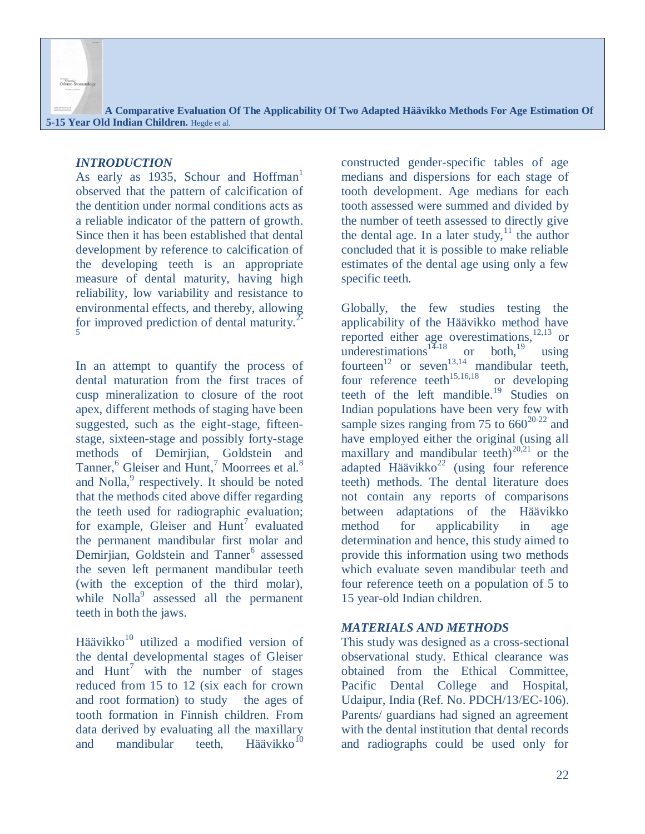#### *INTRODUCTION*

Portensic<br>Odonto-Ste

As early as 1935, Schour and Hoffman<sup>1</sup> observed that the pattern of calcification of the dentition under normal conditions acts as a reliable indicator of the pattern of growth. Since then it has been established that dental development by reference to calcification of the developing teeth is an appropriate measure of dental maturity, having high reliability, low variability and resistance to environmental effects, and thereby, allowing for improved prediction of dental maturity. $^2$ 5

In an attempt to quantify the process of dental maturation from the first traces of cusp mineralization to closure of the root apex, different methods of staging have been suggested, such as the eight-stage, fifteenstage, sixteen-stage and possibly forty-stage methods of Demirjian, Goldstein and Tanner,<sup>6</sup> Gleiser and Hunt,<sup>7</sup> Moorrees et al.<sup>8</sup> and  $Nolla<sub>2</sub><sup>9</sup>$  respectively. It should be noted that the methods cited above differ regarding the teeth used for radiographic evaluation; for example, Gleiser and  $\text{Hunt}^7$  evaluated the permanent mandibular first molar and Demirjian, Goldstein and Tanner<sup>6</sup> assessed the seven left permanent mandibular teeth (with the exception of the third molar), while  $Nolla<sup>9</sup>$  assessed all the permanent teeth in both the jaws.

Häävikko<sup>10</sup> utilized a modified version of the dental developmental stages of Gleiser and  $Hunt^7$  with the number of stages reduced from 15 to 12 (six each for crown and root formation) to study the ages of tooth formation in Finnish children. From data derived by evaluating all the maxillary and mandibular teeth, Häävikko $10$ 

constructed gender-specific tables of age medians and dispersions for each stage of tooth development. Age medians for each tooth assessed were summed and divided by the number of teeth assessed to directly give the dental age. In a later study,  $\frac{11}{1}$  the author concluded that it is possible to make reliable estimates of the dental age using only a few specific teeth.

Globally, the few studies testing the applicability of the Häävikko method have reported either age overestimations,  $12,13$  or underestimations<sup>14-18</sup> or both,<sup>19</sup> using fourteen<sup>12</sup> or seven<sup>13,14</sup> mandibular teeth, four reference teeth<sup>15,16,18</sup> or developing teeth of the left mandible.<sup>19</sup> Studies on Indian populations have been very few with sample sizes ranging from 75 to  $660^{20-22}$  and have employed either the original (using all maxillary and mandibular teeth)<sup>20,21</sup> or the adapted Häävikko<sup>22</sup> (using four reference teeth) methods. The dental literature does not contain any reports of comparisons between adaptations of the Häävikko method for applicability in age determination and hence, this study aimed to provide this information using two methods which evaluate seven mandibular teeth and four reference teeth on a population of 5 to 15 year-old Indian children.

## *MATERIALS AND METHODS*

This study was designed as a cross-sectional observational study. Ethical clearance was obtained from the Ethical Committee, Pacific Dental College and Hospital, Udaipur, India (Ref. No. PDCH/13/EC-106). Parents/ guardians had signed an agreement with the dental institution that dental records and radiographs could be used only for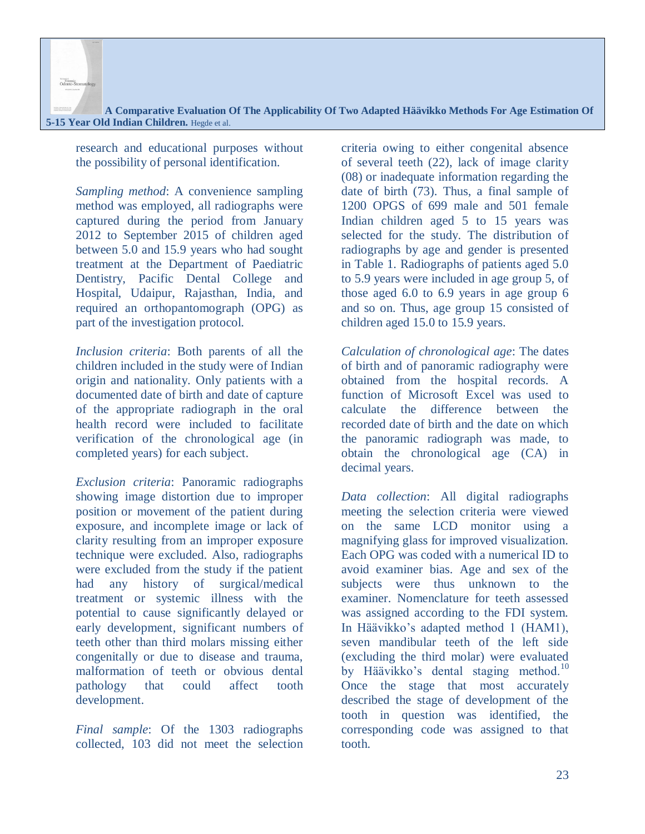**A Comparative Evaluation Of The Applicability Of Two Adapted Häävikko Methods For Age Estimation Of 5-15 Year Old Indian Children.** Hegde et al.

research and educational purposes without the possibility of personal identification.

*Sampling method*: A convenience sampling method was employed, all radiographs were captured during the period from January 2012 to September 2015 of children aged between 5.0 and 15.9 years who had sought treatment at the Department of Paediatric Dentistry, Pacific Dental College and Hospital, Udaipur, Rajasthan, India, and required an orthopantomograph (OPG) as part of the investigation protocol.

*Inclusion criteria*: Both parents of all the children included in the study were of Indian origin and nationality. Only patients with a documented date of birth and date of capture of the appropriate radiograph in the oral health record were included to facilitate verification of the chronological age (in completed years) for each subject.

*Exclusion criteria*: Panoramic radiographs showing image distortion due to improper position or movement of the patient during exposure, and incomplete image or lack of clarity resulting from an improper exposure technique were excluded. Also, radiographs were excluded from the study if the patient had any history of surgical/medical treatment or systemic illness with the potential to cause significantly delayed or early development, significant numbers of teeth other than third molars missing either congenitally or due to disease and trauma, malformation of teeth or obvious dental pathology that could affect tooth development.

*Final sample*: Of the 1303 radiographs collected, 103 did not meet the selection criteria owing to either congenital absence of several teeth (22), lack of image clarity (08) or inadequate information regarding the date of birth (73). Thus, a final sample of 1200 OPGS of 699 male and 501 female Indian children aged 5 to 15 years was selected for the study. The distribution of radiographs by age and gender is presented in Table 1. Radiographs of patients aged 5.0 to 5.9 years were included in age group 5, of those aged 6.0 to 6.9 years in age group 6 and so on. Thus, age group 15 consisted of children aged 15.0 to 15.9 years.

*Calculation of chronological age*: The dates of birth and of panoramic radiography were obtained from the hospital records. A function of Microsoft Excel was used to calculate the difference between the recorded date of birth and the date on which the panoramic radiograph was made, to obtain the chronological age (CA) in decimal years.

*Data collection*: All digital radiographs meeting the selection criteria were viewed on the same LCD monitor using a magnifying glass for improved visualization. Each OPG was coded with a numerical ID to avoid examiner bias. Age and sex of the subjects were thus unknown to the examiner. Nomenclature for teeth assessed was assigned according to the FDI system. In Häävikko's adapted method 1 (HAM1), seven mandibular teeth of the left side (excluding the third molar) were evaluated by Häävikko's dental staging method.<sup>10</sup> Once the stage that most accurately described the stage of development of the tooth in question was identified, the corresponding code was assigned to that tooth.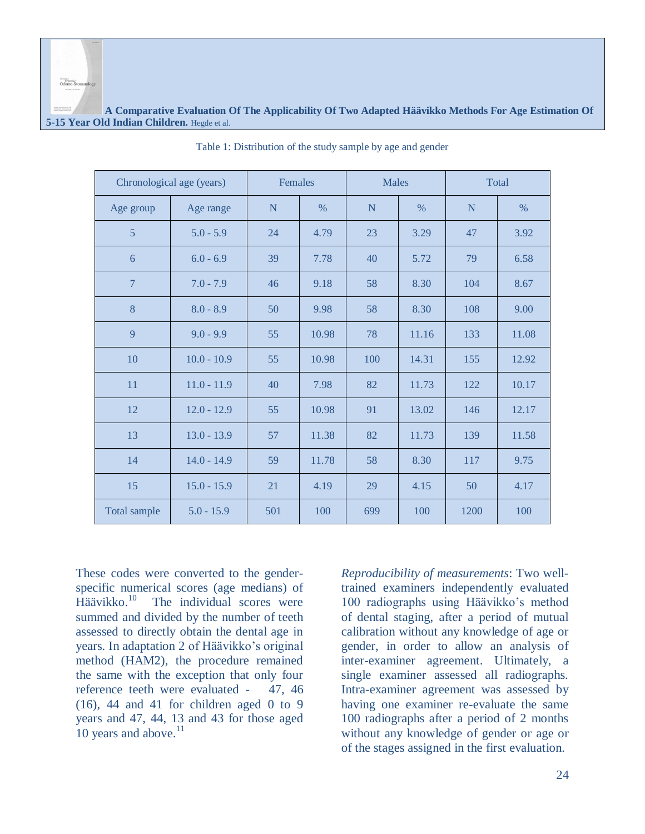|                     | Chronological age (years) |     | Females<br><b>Males</b><br>Total |     |       |      |       |
|---------------------|---------------------------|-----|----------------------------------|-----|-------|------|-------|
| Age group           | Age range                 | N   | $\%$                             | N   | $\%$  | N    | $\%$  |
| 5                   | $5.0 - 5.9$               | 24  | 4.79                             | 23  | 3.29  | 47   | 3.92  |
| 6                   | $6.0 - 6.9$               | 39  | 7.78                             | 40  | 5.72  | 79   | 6.58  |
| $\overline{7}$      | $7.0 - 7.9$               | 46  | 9.18                             | 58  | 8.30  | 104  | 8.67  |
| 8                   | $8.0 - 8.9$               | 50  | 9.98                             | 58  | 8.30  | 108  | 9.00  |
| 9                   | $9.0 - 9.9$               | 55  | 10.98                            | 78  | 11.16 | 133  | 11.08 |
| 10                  | $10.0 - 10.9$             | 55  | 10.98                            | 100 | 14.31 | 155  | 12.92 |
| 11                  | $11.0 - 11.9$             | 40  | 7.98                             | 82  | 11.73 | 122  | 10.17 |
| 12                  | $12.0 - 12.9$             | 55  | 10.98                            | 91  | 13.02 | 146  | 12.17 |
| 13                  | $13.0 - 13.9$             | 57  | 11.38                            | 82  | 11.73 | 139  | 11.58 |
| 14                  | $14.0 - 14.9$             | 59  | 11.78                            | 58  | 8.30  | 117  | 9.75  |
| 15                  | $15.0 - 15.9$             | 21  | 4.19                             | 29  | 4.15  | 50   | 4.17  |
| <b>Total sample</b> | $5.0 - 15.9$              | 501 | 100                              | 699 | 100   | 1200 | 100   |

Table 1: Distribution of the study sample by age and gender

These codes were converted to the genderspecific numerical scores (age medians) of Häävikko.<sup>10</sup> The individual scores were summed and divided by the number of teeth assessed to directly obtain the dental age in years. In adaptation 2 of Häävikko's original method (HAM2), the procedure remained the same with the exception that only four reference teeth were evaluated - 47, 46  $(16)$ , 44 and 41 for children aged 0 to 9 years and 47, 44, 13 and 43 for those aged 10 years and above. $11$ 

Forensic<br>Odonto-Sto

*Reproducibility of measurements*: Two welltrained examiners independently evaluated 100 radiographs using Häävikko's method of dental staging, after a period of mutual calibration without any knowledge of age or gender, in order to allow an analysis of inter-examiner agreement. Ultimately, a single examiner assessed all radiographs. Intra-examiner agreement was assessed by having one examiner re-evaluate the same 100 radiographs after a period of 2 months without any knowledge of gender or age or of the stages assigned in the first evaluation.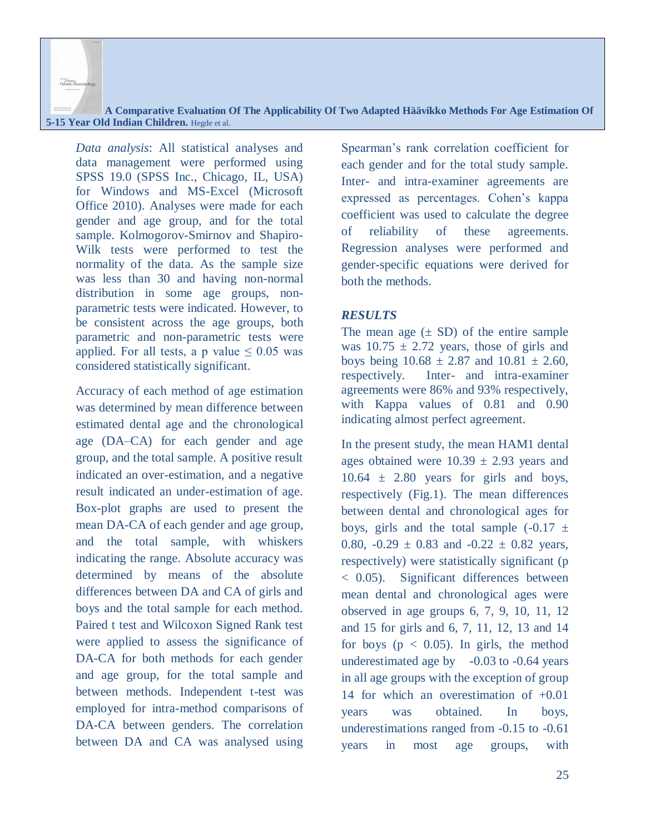**A Comparative Evaluation Of The Applicability Of Two Adapted Häävikko Methods For Age Estimation Of 5-15 Year Old Indian Children.** Hegde et al.

*Data analysis*: All statistical analyses and data management were performed using SPSS 19.0 (SPSS Inc., Chicago, IL, USA) for Windows and MS-Excel (Microsoft Office 2010). Analyses were made for each gender and age group, and for the total sample. Kolmogorov-Smirnov and Shapiro-Wilk tests were performed to test the normality of the data. As the sample size was less than 30 and having non-normal distribution in some age groups, nonparametric tests were indicated. However, to be consistent across the age groups, both parametric and non-parametric tests were applied. For all tests, a p value  $\leq 0.05$  was considered statistically significant.

Accuracy of each method of age estimation was determined by mean difference between estimated dental age and the chronological age (DA–CA) for each gender and age group, and the total sample. A positive result indicated an over-estimation, and a negative result indicated an under-estimation of age. Box-plot graphs are used to present the mean DA-CA of each gender and age group, and the total sample, with whiskers indicating the range. Absolute accuracy was determined by means of the absolute differences between DA and CA of girls and boys and the total sample for each method. Paired t test and Wilcoxon Signed Rank test were applied to assess the significance of DA-CA for both methods for each gender and age group, for the total sample and between methods. Independent t-test was employed for intra-method comparisons of DA-CA between genders. The correlation between DA and CA was analysed using

Spearman's rank correlation coefficient for each gender and for the total study sample. Inter- and intra-examiner agreements are expressed as percentages. Cohen's kappa coefficient was used to calculate the degree of reliability of these agreements. Regression analyses were performed and gender-specific equations were derived for both the methods.

## *RESULTS*

The mean age  $(\pm SD)$  of the entire sample was  $10.75 \pm 2.72$  years, those of girls and boys being  $10.68 \pm 2.87$  and  $10.81 \pm 2.60$ , respectively. Inter- and intra-examiner agreements were 86% and 93% respectively, with Kappa values of 0.81 and 0.90 indicating almost perfect agreement.

In the present study, the mean HAM1 dental ages obtained were  $10.39 \pm 2.93$  years and  $10.64 \pm 2.80$  years for girls and boys, respectively (Fig.1). The mean differences between dental and chronological ages for boys, girls and the total sample  $(-0.17 \pm 1)$ 0.80,  $-0.29 \pm 0.83$  and  $-0.22 \pm 0.82$  years, respectively) were statistically significant (p < 0.05). Significant differences between mean dental and chronological ages were observed in age groups 6, 7, 9, 10, 11, 12 and 15 for girls and 6, 7, 11, 12, 13 and 14 for boys ( $p < 0.05$ ). In girls, the method underestimated age by  $-0.03$  to  $-0.64$  years in all age groups with the exception of group 14 for which an overestimation of +0.01 years was obtained. In boys, underestimations ranged from -0.15 to -0.61 years in most age groups, with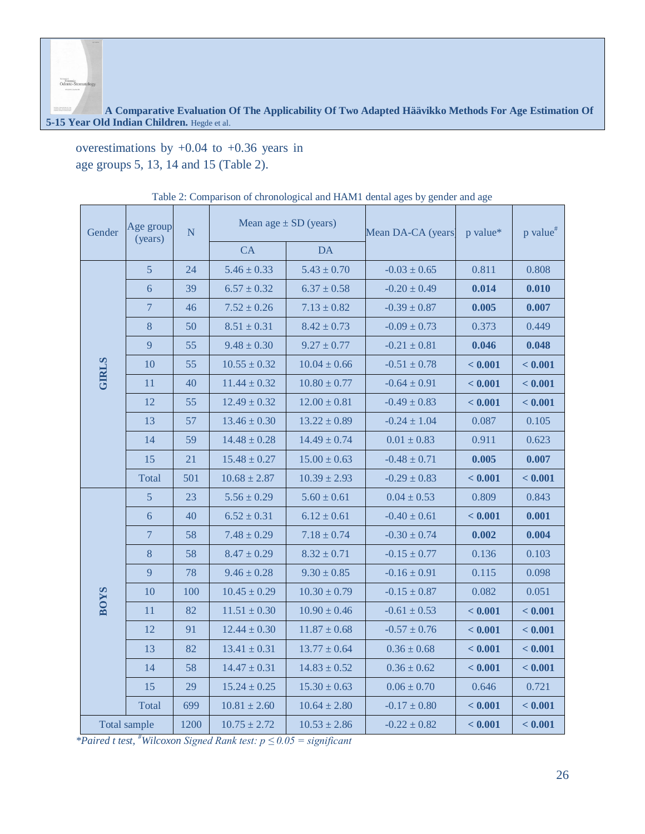**A Comparative Evaluation Of The Applicability Of Two Adapted Häävikko Methods For Age Estimation Of 5-15 Year Old Indian Children.** Hegde et al.

overestimations by  $+0.04$  to  $+0.36$  years in age groups 5, 13, 14 and 15 (Table 2).

| Gender       | Age group<br>(years) | $\overline{N}$ |                  | Mean age $\pm$ SD (years) | Mean DA-CA (years) | p value* | p value <sup>#</sup> |
|--------------|----------------------|----------------|------------------|---------------------------|--------------------|----------|----------------------|
|              |                      |                | CA               | <b>DA</b>                 |                    |          |                      |
|              | $\overline{5}$       | 24             | $5.46 \pm 0.33$  | $5.43 \pm 0.70$           | $-0.03 \pm 0.65$   | 0.811    | 0.808                |
|              | 6                    | 39             | $6.57 \pm 0.32$  | $6.37 \pm 0.58$           | $-0.20 \pm 0.49$   | 0.014    | 0.010                |
|              | $\overline{7}$       | 46             | $7.52 \pm 0.26$  | $7.13 \pm 0.82$           | $-0.39 \pm 0.87$   | 0.005    | 0.007                |
|              | 8                    | 50             | $8.51 \pm 0.31$  | $8.42 \pm 0.73$           | $-0.09 \pm 0.73$   | 0.373    | 0.449                |
|              | 9                    | 55             | $9.48 \pm 0.30$  | $9.27 \pm 0.77$           | $-0.21 \pm 0.81$   | 0.046    | 0.048                |
| <b>GIRLS</b> | 10                   | 55             | $10.55 \pm 0.32$ | $10.04 \pm 0.66$          | $-0.51 \pm 0.78$   | < 0.001  | < 0.001              |
|              | 11                   | 40             | $11.44 \pm 0.32$ | $10.80 \pm 0.77$          | $-0.64 \pm 0.91$   | < 0.001  | < 0.001              |
|              | 12                   | 55             | $12.49 \pm 0.32$ | $12.00 \pm 0.81$          | $-0.49 \pm 0.83$   | < 0.001  | < 0.001              |
|              | 13                   | 57             | $13.46 \pm 0.30$ | $13.22 \pm 0.89$          | $-0.24 \pm 1.04$   | 0.087    | 0.105                |
|              | 14                   | 59             | $14.48 \pm 0.28$ | $14.49 \pm 0.74$          | $0.01 \pm 0.83$    | 0.911    | 0.623                |
|              | 15                   | 21             | $15.48 \pm 0.27$ | $15.00 \pm 0.63$          | $-0.48 \pm 0.71$   | 0.005    | 0.007                |
|              | Total                | 501            | $10.68 \pm 2.87$ | $10.39 \pm 2.93$          | $-0.29 \pm 0.83$   | < 0.001  | < 0.001              |
|              | $\overline{5}$       | 23             | $5.56 \pm 0.29$  | $5.60 \pm 0.61$           | $0.04 \pm 0.53$    | 0.809    | 0.843                |
|              | 6                    | 40             | $6.52 \pm 0.31$  | $6.12 \pm 0.61$           | $-0.40 \pm 0.61$   | < 0.001  | 0.001                |
|              | $\overline{7}$       | 58             | $7.48 \pm 0.29$  | $7.18 \pm 0.74$           | $-0.30 \pm 0.74$   | 0.002    | 0.004                |
|              | 8                    | 58             | $8.47 \pm 0.29$  | $8.32 \pm 0.71$           | $-0.15 \pm 0.77$   | 0.136    | 0.103                |
|              | 9                    | 78             | $9.46 \pm 0.28$  | $9.30 \pm 0.85$           | $-0.16 \pm 0.91$   | 0.115    | 0.098                |
| <b>BOYS</b>  | 10                   | 100            | $10.45 \pm 0.29$ | $10.30 \pm 0.79$          | $-0.15 \pm 0.87$   | 0.082    | 0.051                |
|              | 11                   | 82             | $11.51 \pm 0.30$ | $10.90 \pm 0.46$          | $-0.61 \pm 0.53$   | < 0.001  | $\bf < 0.001$        |
|              | 12                   | 91             | $12.44 \pm 0.30$ | $11.87 \pm 0.68$          | $-0.57 \pm 0.76$   | < 0.001  | < 0.001              |
|              | 13                   | 82             | $13.41 \pm 0.31$ | $13.77 \pm 0.64$          | $0.36 \pm 0.68$    | < 0.001  | < 0.001              |
|              | 14                   | 58             | $14.47 \pm 0.31$ | $14.83 \pm 0.52$          | $0.36 \pm 0.62$    | < 0.001  | < 0.001              |
|              | 15                   | 29             | $15.24 \pm 0.25$ | $15.30 \pm 0.63$          | $0.06 \pm 0.70$    | 0.646    | 0.721                |
|              | Total                | 699            | $10.81 \pm 2.60$ | $10.64 \pm 2.80$          | $-0.17 \pm 0.80$   | < 0.001  | < 0.001              |
|              | <b>Total sample</b>  | 1200           | $10.75 \pm 2.72$ | $10.53 \pm 2.86$          | $-0.22 \pm 0.82$   | < 0.001  | < 0.001              |

| Table 2: Comparison of chronological and HAM1 dental ages by gender and age |  |
|-----------------------------------------------------------------------------|--|

*\*Paired t test, #Wilcoxon Signed Rank test: p ≤ 0.05 = significant*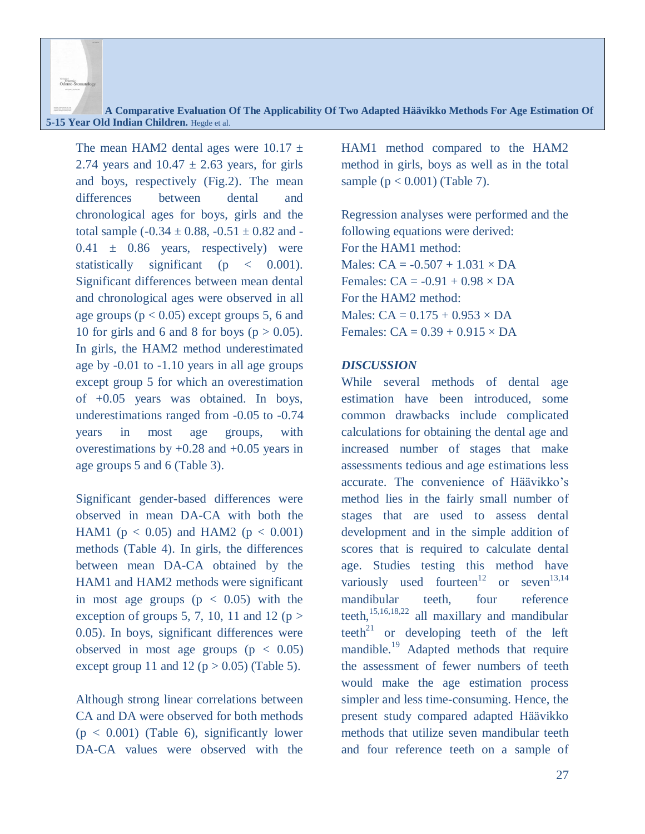**A Comparative Evaluation Of The Applicability Of Two Adapted Häävikko Methods For Age Estimation Of 5-15 Year Old Indian Children.** Hegde et al.

The mean HAM2 dental ages were  $10.17 \pm$ 2.74 years and  $10.47 \pm 2.63$  years, for girls and boys, respectively (Fig.2). The mean differences between dental and chronological ages for boys, girls and the total sample  $(-0.34 \pm 0.88, -0.51 \pm 0.82$  and - $0.41 \pm 0.86$  years, respectively) were statistically significant (p  $\lt$  0.001). Significant differences between mean dental and chronological ages were observed in all age groups ( $p < 0.05$ ) except groups 5, 6 and 10 for girls and 6 and 8 for boys ( $p > 0.05$ ). In girls, the HAM2 method underestimated age by -0.01 to -1.10 years in all age groups except group 5 for which an overestimation of +0.05 years was obtained. In boys, underestimations ranged from -0.05 to -0.74 years in most age groups, with overestimations by  $+0.28$  and  $+0.05$  years in age groups 5 and 6 (Table 3).

Significant gender-based differences were observed in mean DA-CA with both the HAM1 ( $p < 0.05$ ) and HAM2 ( $p < 0.001$ ) methods (Table 4). In girls, the differences between mean DA-CA obtained by the HAM1 and HAM2 methods were significant in most age groups  $(p < 0.05)$  with the exception of groups 5, 7, 10, 11 and 12 ( $p >$ 0.05). In boys, significant differences were observed in most age groups  $(p < 0.05)$ except group 11 and 12 ( $p > 0.05$ ) (Table 5).

Although strong linear correlations between CA and DA were observed for both methods  $(p < 0.001)$  (Table 6), significantly lower DA-CA values were observed with the HAM1 method compared to the HAM2 method in girls, boys as well as in the total sample  $(p < 0.001)$  (Table 7).

Regression analyses were performed and the following equations were derived: For the HAM1 method: Males:  $CA = -0.507 + 1.031 \times DA$ Females:  $CA = -0.91 + 0.98 \times DA$ For the HAM2 method: Males:  $CA = 0.175 + 0.953 \times DA$ Females:  $CA = 0.39 + 0.915 \times DA$ 

#### *DISCUSSION*

While several methods of dental age estimation have been introduced, some common drawbacks include complicated calculations for obtaining the dental age and increased number of stages that make assessments tedious and age estimations less accurate. The convenience of Häävikko's method lies in the fairly small number of stages that are used to assess dental development and in the simple addition of scores that is required to calculate dental age. Studies testing this method have variously used fourteen<sup>12</sup> or seven<sup>13,14</sup> mandibular teeth, four reference teeth, $15,16,18,22$  all maxillary and mandibular teeth<sup>21</sup> or developing teeth of the left mandible.<sup>19</sup> Adapted methods that require the assessment of fewer numbers of teeth would make the age estimation process simpler and less time-consuming. Hence, the present study compared adapted Häävikko methods that utilize seven mandibular teeth and four reference teeth on a sample of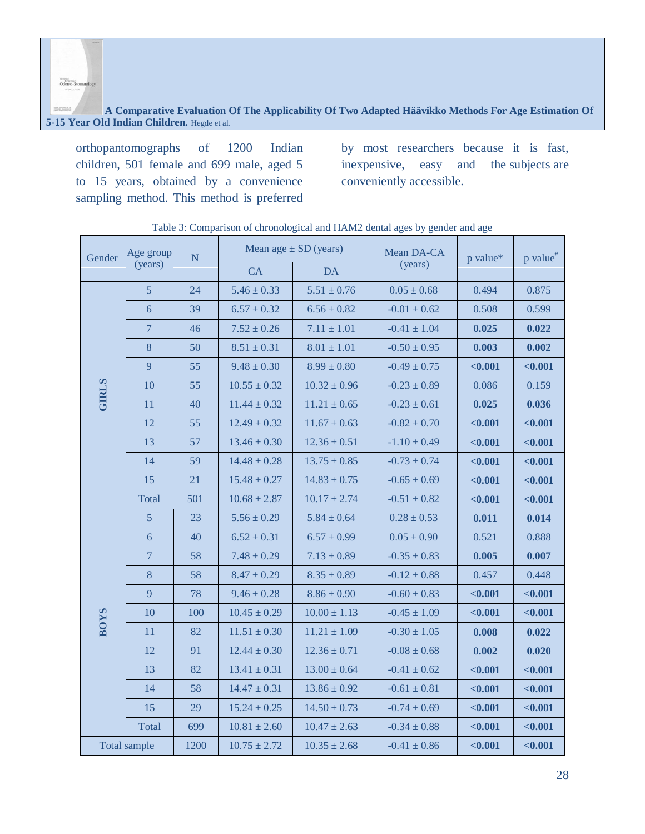**A Comparative Evaluation Of The Applicability Of Two Adapted Häävikko Methods For Age Estimation Of 5-15 Year Old Indian Children.** Hegde et al.

orthopantomographs of 1200 Indian children, 501 female and 699 male, aged 5 to 15 years, obtained by a convenience sampling method. This method is preferred

by most researchers because it is fast, inexpensive, easy and the subjects are conveniently accessible.

| Gender       | Age group<br>$\overline{N}$ |      |                  | Mean age $\pm$ SD (years) |                  | p value* | p value <sup>#</sup> |  |
|--------------|-----------------------------|------|------------------|---------------------------|------------------|----------|----------------------|--|
|              | (years)                     |      | CA               | <b>DA</b>                 | (years)          |          |                      |  |
|              | $\overline{5}$              | 24   | $5.46 \pm 0.33$  | $5.51 \pm 0.76$           | $0.05 \pm 0.68$  | 0.494    | 0.875                |  |
|              | $6\overline{6}$             | 39   | $6.57 \pm 0.32$  | $6.56 \pm 0.82$           | $-0.01 \pm 0.62$ | 0.508    | 0.599                |  |
|              | $7\phantom{.0}$             | 46   | $7.52 \pm 0.26$  | $7.11 \pm 1.01$           | $-0.41 \pm 1.04$ | 0.025    | 0.022                |  |
|              | 8                           | 50   | $8.51 \pm 0.31$  | $8.01 \pm 1.01$           | $-0.50 \pm 0.95$ | 0.003    | 0.002                |  |
|              | 9                           | 55   | $9.48 \pm 0.30$  | $8.99 \pm 0.80$           | $-0.49 \pm 0.75$ | < 0.001  | $0.001$              |  |
| <b>GIRLS</b> | 10                          | 55   | $10.55 \pm 0.32$ | $10.32 \pm 0.96$          | $-0.23 \pm 0.89$ | 0.086    | 0.159                |  |
|              | 11                          | 40   | $11.44 \pm 0.32$ | $11.21 \pm 0.65$          | $-0.23 \pm 0.61$ | 0.025    | 0.036                |  |
|              | 12                          | 55   | $12.49 \pm 0.32$ | $11.67 \pm 0.63$          | $-0.82 \pm 0.70$ | $0.001$  | $0.001$              |  |
|              | 13                          | 57   | $13.46 \pm 0.30$ | $12.36 \pm 0.51$          | $-1.10 \pm 0.49$ | < 0.001  | < 0.001              |  |
|              | 14                          | 59   | $14.48 \pm 0.28$ | $13.75 \pm 0.85$          | $-0.73 \pm 0.74$ | < 0.001  | < 0.001              |  |
|              | 15                          | 21   | $15.48 \pm 0.27$ | $14.83 \pm 0.75$          | $-0.65 \pm 0.69$ | < 0.001  | < 0.001              |  |
|              | Total                       | 501  | $10.68 \pm 2.87$ | $10.17 \pm 2.74$          | $-0.51 \pm 0.82$ | < 0.001  | < 0.001              |  |
|              | $\overline{5}$              | 23   | $5.56 \pm 0.29$  | $5.84 \pm 0.64$           | $0.28 \pm 0.53$  | 0.011    | 0.014                |  |
|              | 6                           | 40   | $6.52 \pm 0.31$  | $6.57 \pm 0.99$           | $0.05 \pm 0.90$  | 0.521    | 0.888                |  |
|              | $\overline{7}$              | 58   | $7.48 \pm 0.29$  | $7.13 \pm 0.89$           | $-0.35 \pm 0.83$ | 0.005    | 0.007                |  |
|              | 8                           | 58   | $8.47 \pm 0.29$  | $8.35 \pm 0.89$           | $-0.12 \pm 0.88$ | 0.457    | 0.448                |  |
|              | 9                           | 78   | $9.46 \pm 0.28$  | $8.86 \pm 0.90$           | $-0.60 \pm 0.83$ | < 0.001  | $0.001$              |  |
| <b>BOYS</b>  | 10                          | 100  | $10.45 \pm 0.29$ | $10.00 \pm 1.13$          | $-0.45 \pm 1.09$ | $0.001$  | < 0.001              |  |
|              | 11                          | 82   | $11.51 \pm 0.30$ | $11.21 \pm 1.09$          | $-0.30 \pm 1.05$ | 0.008    | 0.022                |  |
|              | 12                          | 91   | $12.44 \pm 0.30$ | $12.36 \pm 0.71$          | $-0.08 \pm 0.68$ | 0.002    | 0.020                |  |
|              | 13                          | 82   | $13.41 \pm 0.31$ | $13.00 \pm 0.64$          | $-0.41 \pm 0.62$ | < 0.001  | $0.001$              |  |
|              | 14                          | 58   | $14.47 \pm 0.31$ | $13.86 \pm 0.92$          | $-0.61 \pm 0.81$ | < 0.001  | < 0.001              |  |
|              | 15                          | 29   | $15.24 \pm 0.25$ | $14.50 \pm 0.73$          | $-0.74 \pm 0.69$ | < 0.001  | < 0.001              |  |
|              | Total                       | 699  | $10.81 \pm 2.60$ | $10.47 \pm 2.63$          | $-0.34 \pm 0.88$ | < 0.001  | < 0.001              |  |
|              | <b>Total sample</b>         | 1200 | $10.75 \pm 2.72$ | $10.35 \pm 2.68$          | $-0.41 \pm 0.86$ | $0.001$  | $0.001$              |  |

Table 3: Comparison of chronological and HAM2 dental ages by gender and age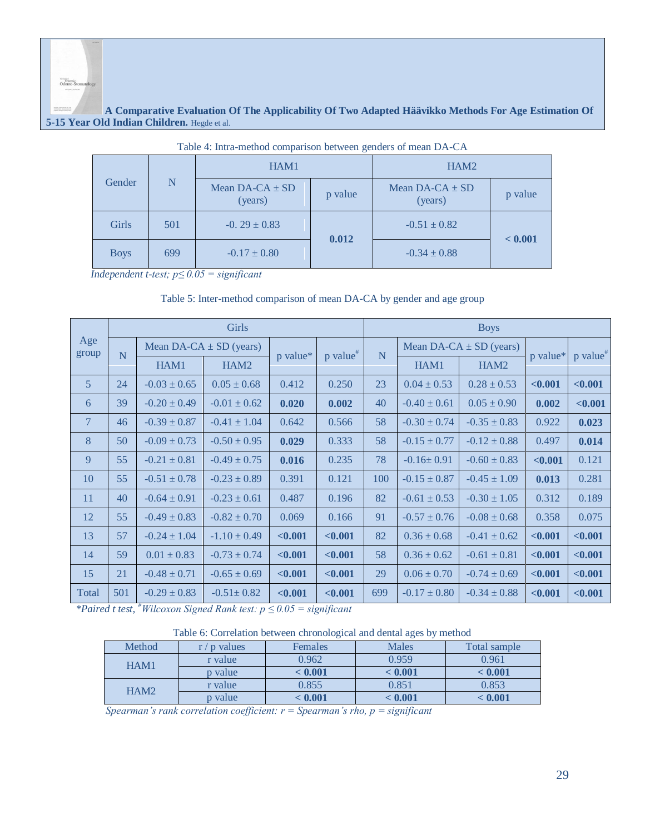#### **A Comparative Evaluation Of The Applicability Of Two Adapted Häävikko Methods For Age Estimation Of 5-15 Year Old Indian Children.** Hegde et al.

| Table 4. India-include comparison between genuers of mean DA-CA |     |                                |         |                                |         |  |  |  |
|-----------------------------------------------------------------|-----|--------------------------------|---------|--------------------------------|---------|--|--|--|
|                                                                 |     | HAM1                           |         | HAM <sub>2</sub>               |         |  |  |  |
| Gender                                                          | N   | Mean $DA-CA \pm SD$<br>(years) | p value | Mean $DA-CA \pm SD$<br>(years) | p value |  |  |  |
| <b>Girls</b>                                                    | 501 | $-0.29 \pm 0.83$               | 0.012   | $-0.51 \pm 0.82$               | < 0.001 |  |  |  |
| <b>Boys</b>                                                     | 699 | $-0.17 \pm 0.80$               |         | $-0.34 \pm 0.88$               |         |  |  |  |

| Table 4: Intra-method comparison between genders of mean DA-CA |  |  |  |
|----------------------------------------------------------------|--|--|--|
|                                                                |  |  |  |

*Independent t-test; p≤ 0.05 = significant*

#### Table 5: Inter-method comparison of mean DA-CA by gender and age group

|                | Girls |                  |                             |          |                        |     | <b>Boys</b>      |                             |          |                        |  |
|----------------|-------|------------------|-----------------------------|----------|------------------------|-----|------------------|-----------------------------|----------|------------------------|--|
| Age<br>group   | N     |                  | Mean DA-CA $\pm$ SD (years) |          | $p$ value <sup>#</sup> | N   |                  | Mean DA-CA $\pm$ SD (years) |          | $p$ value <sup>#</sup> |  |
|                |       | HAM1             | HAM <sub>2</sub>            | p value* |                        |     | HAM1             | HAM <sub>2</sub>            | p value* |                        |  |
| $\overline{5}$ | 24    | $-0.03 \pm 0.65$ | $0.05 \pm 0.68$             | 0.412    | 0.250                  | 23  | $0.04 \pm 0.53$  | $0.28 \pm 0.53$             | < 0.001  | < 0.001                |  |
| 6              | 39    | $-0.20 \pm 0.49$ | $-0.01 \pm 0.62$            | 0.020    | 0.002                  | 40  | $-0.40 \pm 0.61$ | $0.05 \pm 0.90$             | 0.002    | $0.001$                |  |
| $\overline{7}$ | 46    | $-0.39 \pm 0.87$ | $-0.41 \pm 1.04$            | 0.642    | 0.566                  | 58  | $-0.30 \pm 0.74$ | $-0.35 \pm 0.83$            | 0.922    | 0.023                  |  |
| 8              | 50    | $-0.09 \pm 0.73$ | $-0.50 \pm 0.95$            | 0.029    | 0.333                  | 58  | $-0.15 \pm 0.77$ | $-0.12 \pm 0.88$            | 0.497    | 0.014                  |  |
| 9              | 55    | $-0.21 \pm 0.81$ | $-0.49 \pm 0.75$            | 0.016    | 0.235                  | 78  | $-0.16 \pm 0.91$ | $-0.60 \pm 0.83$            | < 0.001  | 0.121                  |  |
| 10             | 55    | $-0.51 \pm 0.78$ | $-0.23 \pm 0.89$            | 0.391    | 0.121                  | 100 | $-0.15 \pm 0.87$ | $-0.45 \pm 1.09$            | 0.013    | 0.281                  |  |
| 11             | 40    | $-0.64 \pm 0.91$ | $-0.23 \pm 0.61$            | 0.487    | 0.196                  | 82  | $-0.61 \pm 0.53$ | $-0.30 \pm 1.05$            | 0.312    | 0.189                  |  |
| 12             | 55    | $-0.49 \pm 0.83$ | $-0.82 \pm 0.70$            | 0.069    | 0.166                  | 91  | $-0.57 \pm 0.76$ | $-0.08 \pm 0.68$            | 0.358    | 0.075                  |  |
| 13             | 57    | $-0.24 \pm 1.04$ | $-1.10 \pm 0.49$            | < 0.001  | < 0.001                | 82  | $0.36 \pm 0.68$  | $-0.41 \pm 0.62$            | < 0.001  | $0.001$                |  |
| 14             | 59    | $0.01 \pm 0.83$  | $-0.73 \pm 0.74$            | < 0.001  | < 0.001                | 58  | $0.36 \pm 0.62$  | $-0.61 \pm 0.81$            | < 0.001  | $0.001$                |  |
| 15             | 21    | $-0.48 \pm 0.71$ | $-0.65 \pm 0.69$            | < 0.001  | < 0.001                | 29  | $0.06 \pm 0.70$  | $-0.74 \pm 0.69$            | < 0.001  | < 0.001                |  |
| Total          | 501   | $-0.29 \pm 0.83$ | $-0.51 \pm 0.82$            | < 0.001  | < 0.001                | 699 | $-0.17 \pm 0.80$ | $-0.34 \pm 0.88$            | $0.001$  | < 0.001                |  |

*\*Paired t test, #Wilcoxon Signed Rank test: p ≤ 0.05 = significant*

|  | Table 6: Correlation between chronological and dental ages by method |  |  |
|--|----------------------------------------------------------------------|--|--|
|  |                                                                      |  |  |

| Method           | p values | Females | <b>Males</b>                                                                               | Total sample |
|------------------|----------|---------|--------------------------------------------------------------------------------------------|--------------|
| HAM1             | r value  | 0.962   | 0.959                                                                                      | 0.961        |
|                  | p value  | < 0.001 | < 0.001<br>< 0.001<br>0.851<br>0.853<br>0.855<br>$-0.001$<br>$\epsilon$ $0.001$<br>< 0.001 |              |
| HAM <sub>2</sub> | r value  |         |                                                                                            |              |
|                  | p value  |         |                                                                                            |              |

*Spearman's rank correlation coefficient: r = Spearman's rho, p = significant*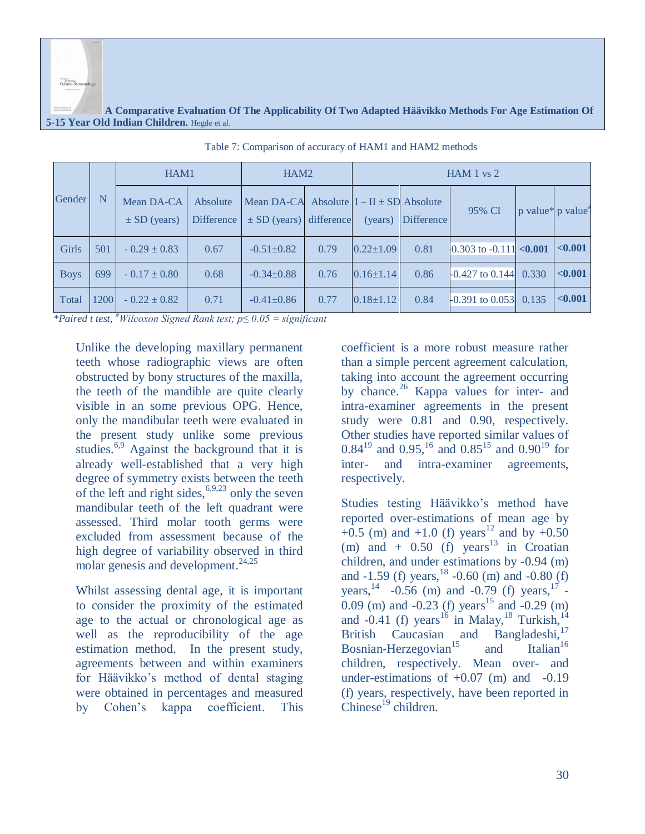Portensic<br>Odonto-Ste

#### **A Comparative Evaluation Of The Applicability Of Two Adapted Häävikko Methods For Age Estimation Of 5-15 Year Old Indian Children.** Hegde et al.

|             |      | HAM1                           |                               | HAM <sub>2</sub>                                                            |      | HAM 1 vs 2      |                   |                                                 |                               |         |
|-------------|------|--------------------------------|-------------------------------|-----------------------------------------------------------------------------|------|-----------------|-------------------|-------------------------------------------------|-------------------------------|---------|
| Gender      | N    | Mean DA-CA<br>$\pm$ SD (years) | Absolute<br><b>Difference</b> | Mean DA-CA Absolute $I - II \pm SD$ Absolute<br>$\pm$ SD (years) difference |      | (years)         | <b>Difference</b> | 95% CI                                          | p value* p value <sup>*</sup> |         |
| Girls       | 501  | $-0.29 \pm 0.83$               | 0.67                          | $-0.51 \pm 0.82$                                                            | 0.79 | $0.22 \pm 1.09$ | 0.81              | $0.303$ to $-0.111$ <0.001                      |                               | < 0.001 |
| <b>Boys</b> | 699  | $-0.17 \pm 0.80$               | 0.68                          | $-0.34\pm0.88$                                                              | 0.76 | $0.16 \pm 1.14$ | 0.86              | $\left  -0.427 \right $ to 0.144 0.330          |                               | < 0.001 |
| Total       | 1200 | $-0.22 \pm 0.82$<br>#--- -     | 0.71                          | $-0.41 \pm 0.86$                                                            | 0.77 | $0.18 \pm 1.12$ | 0.84              | $\left  -0.391 \text{ to } 0.053 \right  0.135$ |                               | < 0.001 |

Table 7: Comparison of accuracy of HAM1 and HAM2 methods

*\*Paired t test, #Wilcoxon Signed Rank test; p≤ 0.05 = significant*

Unlike the developing maxillary permanent teeth whose radiographic views are often obstructed by bony structures of the maxilla, the teeth of the mandible are quite clearly visible in an some previous OPG. Hence, only the mandibular teeth were evaluated in the present study unlike some previous studies.<sup>6,9</sup> Against the background that it is already well-established that a very high degree of symmetry exists between the teeth of the left and right sides,  $6,9,23$  only the seven mandibular teeth of the left quadrant were assessed. Third molar tooth germs were excluded from assessment because of the high degree of variability observed in third molar genesis and development. $^{24,25}$ 

Whilst assessing dental age, it is important to consider the proximity of the estimated age to the actual or chronological age as well as the reproducibility of the age estimation method. In the present study, agreements between and within examiners for Häävikko's method of dental staging were obtained in percentages and measured by Cohen's kappa coefficient. This

coefficient is a more robust measure rather than a simple percent agreement calculation, taking into account the agreement occurring by chance.<sup>26</sup> Kappa values for inter- and intra-examiner agreements in the present study were 0.81 and 0.90, respectively. Other studies have reported similar values of  $0.84^{19}$  and  $0.95^{16}$  and  $0.85^{15}$  and  $0.90^{19}$  for inter- and intra-examiner agreements, respectively.

Studies testing Häävikko's method have reported over-estimations of mean age by  $+0.5$  (m) and  $+1.0$  (f) years<sup>12</sup> and by  $+0.50$ (m) and  $+$  0.50 (f) years<sup>13</sup> in Croatian children, and under estimations by -0.94 (m) and  $-1.59$  (f) years,  $^{18}$   $-0.60$  (m) and  $-0.80$  (f) years,  $^{14}$  -0.56 (m) and -0.79 (f) years,  $^{17}$  -0.09 (m) and -0.23 (f) years<sup>15</sup> and -0.29 (m) and -0.41 (f) years<sup>16</sup> in Malay,<sup>18</sup> Turkish,<sup>14</sup> British Caucasian and Bangladeshi,<sup>17</sup><br>Bosnian-Herzegovian<sup>15</sup> and Italian<sup>16</sup> Bosnian-Herzegovian<sup>15</sup> and children, respectively. Mean over- and under-estimations of  $+0.07$  (m) and  $-0.19$ (f) years, respectively, have been reported in  $Chinese^{19}$  children.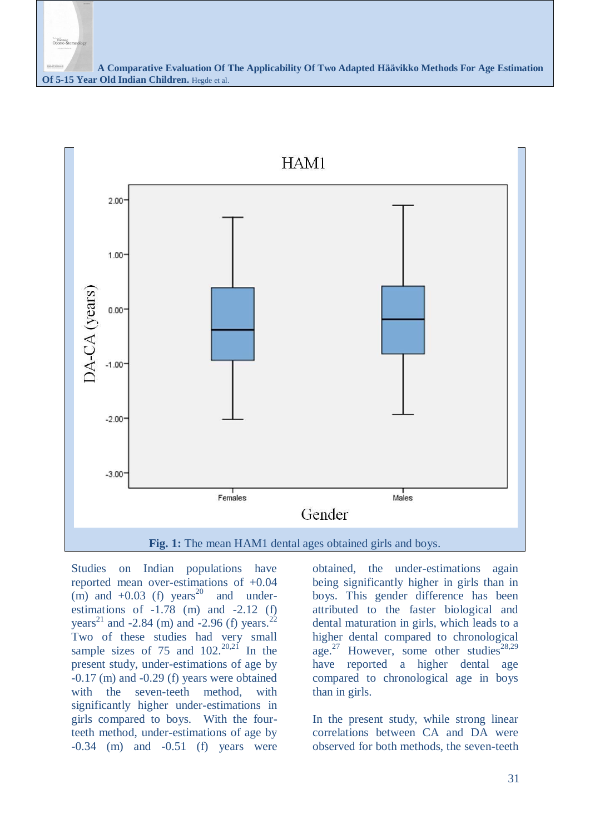

Studies on Indian populations have reported mean over-estimations of +0.04  $(m)$  and  $+0.03$  (f) years<sup>20</sup> and underestimations of  $-1.78$  (m) and  $-2.12$  (f) years<sup>21</sup> and -2.84 (m) and -2.96 (f) years.<sup>22</sup> Two of these studies had very small sample sizes of  $75$  and  $102$ .<sup>20,21</sup> In the present study, under-estimations of age by -0.17 (m) and -0.29 (f) years were obtained with the seven-teeth method, with significantly higher under-estimations in girls compared to boys. With the fourteeth method, under-estimations of age by  $-0.34$  (m) and  $-0.51$  (f) years were

obtained, the under-estimations again being significantly higher in girls than in boys. This gender difference has been attributed to the faster biological and dental maturation in girls, which leads to a higher dental compared to chronological age.<sup>27</sup> However, some other studies<sup>28,29</sup> have reported a higher dental age compared to chronological age in boys than in girls.

In the present study, while strong linear correlations between CA and DA were observed for both methods, the seven-teeth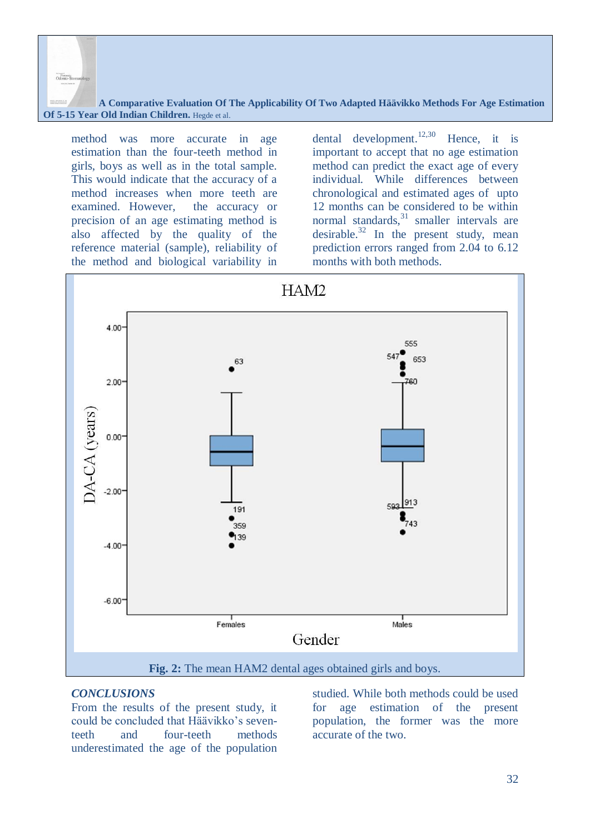method was more accurate in age estimation than the four-teeth method in girls, boys as well as in the total sample. This would indicate that the accuracy of a method increases when more teeth are examined. However, the accuracy or precision of an age estimating method is also affected by the quality of the reference material (sample), reliability of the method and biological variability in

Colonto-3

dental development.<sup>12,30</sup> Hence, it is important to accept that no age estimation method can predict the exact age of every individual. While differences between chronological and estimated ages of upto 12 months can be considered to be within normal standards, $31$  smaller intervals are desirable. $32$  In the present study, mean prediction errors ranged from 2.04 to 6.12 months with both methods.



#### *CONCLUSIONS*

From the results of the present study, it could be concluded that Häävikko's seventeeth and four-teeth methods underestimated the age of the population

studied. While both methods could be used for age estimation of the present population, the former was the more accurate of the two.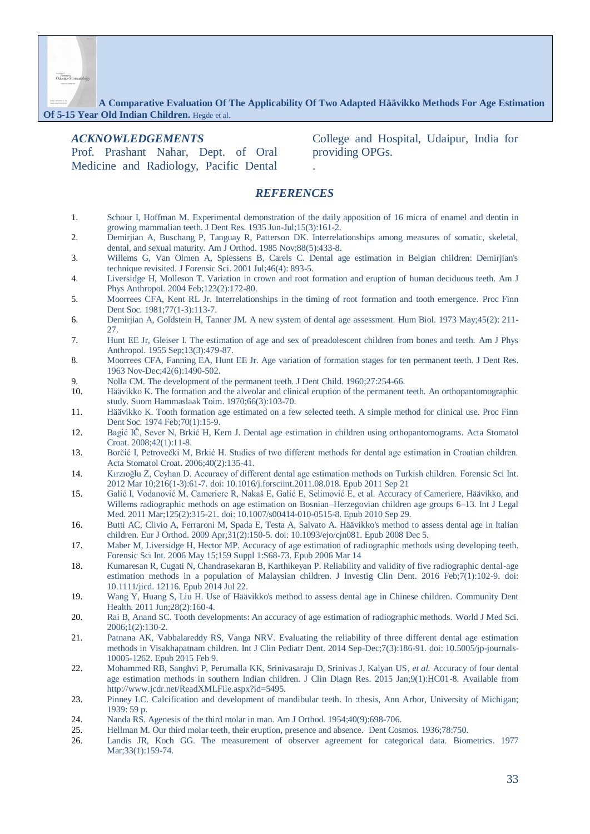**A Comparative Evaluation Of The Applicability Of Two Adapted Häävikko Methods For Age Estimation Of 5-15 Year Old Indian Children.** Hegde et al.

#### *ACKNOWLEDGEMENTS*

Prof. Prashant Nahar, Dept. of Oral Medicine and Radiology, Pacific Dental

College and Hospital, Udaipur, India for providing OPGs.

#### *REFERENCES*

.

- 1. Schour I, Hoffman M. Experimental demonstration of the daily apposition of 16 micra of enamel and dentin in growing mammalian teeth. J Dent Res. 1935 Jun-Jul;15(3):161-2.
- 2. Demirjian A, Buschang P, Tanguay R, Patterson DK. Interrelationships among measures of somatic, skeletal, dental, and sexual maturity. Am J Orthod. 1985 Nov;88(5):433-8.
- 3. Willems G, Van Olmen A, Spiessens B, Carels C. Dental age estimation in Belgian children: Demirjian's technique revisited. J Forensic Sci. 2001 Jul;46(4): 893-5.
- 4. Liversidge H, Molleson T. Variation in crown and root formation and eruption of human deciduous teeth. Am J Phys Anthropol. 2004 Feb;123(2):172-80.
- 5. Moorrees CFA, Kent RL Jr. Interrelationships in the timing of root formation and tooth emergence. Proc Finn Dent Soc. 1981;77(1-3):113-7.
- 6. Demirjian A, Goldstein H, Tanner JM. A new system of dental age assessment. Hum Biol. 1973 May;45(2): 211- 27.
- 7. Hunt EE Jr, Gleiser I. The estimation of age and sex of preadolescent children from bones and teeth. Am J Phys Anthropol. 1955 Sep;13(3):479-87.
- 8. Moorrees CFA, Fanning EA, Hunt EE Jr. Age variation of formation stages for ten permanent teeth. J Dent Res. 1963 Nov-Dec;42(6):1490-502.
- 9. Nolla CM. The development of the permanent teeth. J Dent Child. 1960;27:254-66.
- 10. Häävikko K. The formation and the alveolar and clinical eruption of the permanent teeth. An orthopantomographic study. Suom Hammaslaak Toim. 1970;66(3):103-70.
- 11. Häävikko K. Tooth formation age estimated on a few selected teeth. A simple method for clinical use. Proc Finn Dent Soc. 1974 Feb;70(1):15-9.
- 12. Bagić IČ, Sever N, Brkić H, Kern J. Dental age estimation in children using orthopantomograms. Acta Stomatol Croat. 2008;42(1):11-8.
- 13. Borčić I, Petrovečki M, Brkić H. Studies of two different methods for dental age estimation in Croatian children. Acta Stomatol Croat. 2006;40(2):135-41.
- 14. Kırzıoğlu Z, Ceyhan D. Accuracy of different dental age estimation methods on Turkish children. Forensic Sci Int. 2012 Mar 10;216(1-3):61-7. doi: 10.1016/j.forsciint.2011.08.018. Epub 2011 Sep 21
- 15. Galić I, Vodanović M, Cameriere R, Nakaš E, Galić E, Selimović E, et al. Accuracy of Cameriere, Häävikko, and Willems radiographic methods on age estimation on Bosnian–Herzegovian children age groups 6–13. Int J Legal Med. 2011 Mar;125(2):315-21. doi: 10.1007/s00414-010-0515-8. Epub 2010 Sep 29.
- 16. Butti AC, Clivio A, Ferraroni M, Spada E, Testa A, Salvato A. Häävikko's method to assess dental age in Italian children. Eur J Orthod. 2009 Apr;31(2):150-5. doi: 10.1093/ejo/cjn081. Epub 2008 Dec 5.
- 17. Maber M, Liversidge H, Hector MP. Accuracy of age estimation of radiographic methods using developing teeth. Forensic Sci Int. 2006 May 15;159 Suppl 1:S68-73. Epub 2006 Mar 14
- 18. Kumaresan R, Cugati N, Chandrasekaran B, Karthikeyan P. Reliability and validity of five radiographic dental-age estimation methods in a population of Malaysian children. J Investig Clin Dent. 2016 Feb;7(1):102-9. doi: 10.1111/jicd. 12116. Epub 2014 Jul 22.
- 19. Wang Y, Huang S, Liu H. Use of Häävikko's method to assess dental age in Chinese children. Community Dent Health. 2011 Jun;28(2):160-4.
- 20. Rai B, Anand SC. Tooth developments: An accuracy of age estimation of radiographic methods. World J Med Sci. 2006;1(2):130-2.
- 21. Patnana AK, Vabbalareddy RS, Vanga NRV. Evaluating the reliability of three different dental age estimation methods in Visakhapatnam children. Int J Clin Pediatr Dent. 2014 Sep-Dec;7(3):186-91. doi: 10.5005/jp-journals-10005-1262. Epub 2015 Feb 9.
- 22. Mohammed RB, Sanghvi P, Perumalla KK, Srinivasaraju D, Srinivas J, Kalyan US*, et al.* Accuracy of four dental age estimation methods in southern Indian children. J Clin Diagn Res. 2015 Jan;9(1):HC01-8. Available from http://www.jcdr.net/ReadXMLFile.aspx?id=5495.
- 23. Pinney LC. Calcification and development of mandibular teeth. In :thesis, Ann Arbor, University of Michigan; 1939: 59 p.
- 24. Nanda RS. Agenesis of the third molar in man. Am J Orthod. 1954;40(9):698-706.
- 25. Hellman M. Our third molar teeth, their eruption, presence and absence. Dent Cosmos. 1936;78:750.
- 26. Landis JR, Koch GG. The measurement of observer agreement for categorical data. Biometrics. 1977 Mar; 33(1): 159-74.